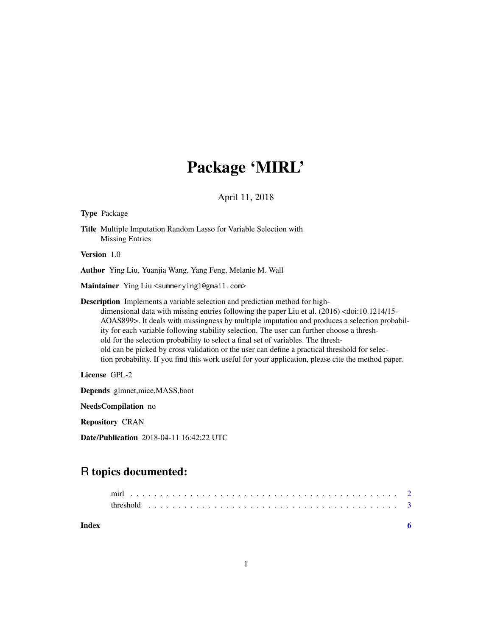# Package 'MIRL'

#### April 11, 2018

### Type Package

Title Multiple Imputation Random Lasso for Variable Selection with Missing Entries

Version 1.0

Author Ying Liu, Yuanjia Wang, Yang Feng, Melanie M. Wall

Maintainer Ying Liu <summeryingl@gmail.com>

Description Implements a variable selection and prediction method for highdimensional data with missing entries following the paper Liu et al. (2016) <doi:10.1214/15-AOAS899>. It deals with missingness by multiple imputation and produces a selection probability for each variable following stability selection. The user can further choose a threshold for the selection probability to select a final set of variables. The threshold can be picked by cross validation or the user can define a practical threshold for selection probability. If you find this work useful for your application, please cite the method paper.

License GPL-2

Depends glmnet,mice,MASS,boot

NeedsCompilation no

Repository CRAN

Date/Publication 2018-04-11 16:42:22 UTC

## R topics documented:

**Index** [6](#page-5-0) **6**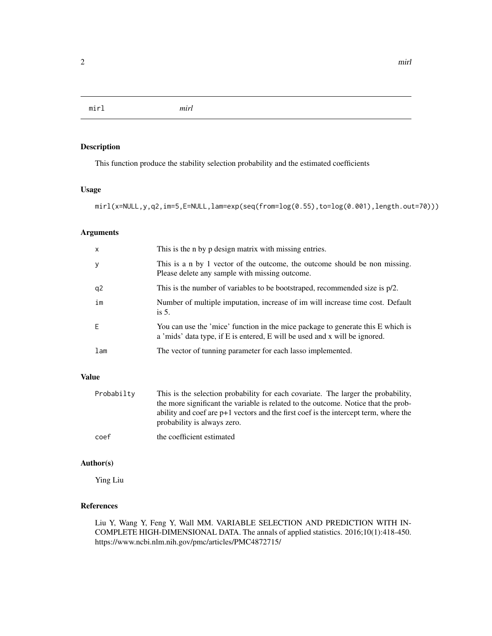<span id="page-1-0"></span>mirl *mirl*

#### Description

This function produce the stability selection probability and the estimated coefficients

#### Usage

```
mirl(x=NULL,y,q2,im=5,E=NULL,lam=exp(seq(from=log(0.55),to=log(0.001),length.out=70)))
```
#### Arguments

| $\mathsf{x}$ | This is the n by p design matrix with missing entries.                                                                                                        |
|--------------|---------------------------------------------------------------------------------------------------------------------------------------------------------------|
| <b>y</b>     | This is a n by 1 vector of the outcome, the outcome should be non missing.<br>Please delete any sample with missing outcome.                                  |
| q2           | This is the number of variables to be bootstraped, recommended size is $p/2$ .                                                                                |
| im           | Number of multiple imputation, increase of im will increase time cost. Default<br>is $5$ .                                                                    |
| F            | You can use the 'mice' function in the mice package to generate this E which is<br>a 'mids' data type, if E is entered, E will be used and x will be ignored. |
| lam          | The vector of tunning parameter for each lasso implemented.                                                                                                   |

#### Value

| Probabilty | This is the selection probability for each covariate. The larger the probability,<br>the more significant the variable is related to the outcome. Notice that the prob-<br>ability and coef are $p+1$ vectors and the first coef is the intercept term, where the<br>probability is always zero. |
|------------|--------------------------------------------------------------------------------------------------------------------------------------------------------------------------------------------------------------------------------------------------------------------------------------------------|
| coef       | the coefficient estimated                                                                                                                                                                                                                                                                        |

#### Author(s)

Ying Liu

#### References

Liu Y, Wang Y, Feng Y, Wall MM. VARIABLE SELECTION AND PREDICTION WITH IN-COMPLETE HIGH-DIMENSIONAL DATA. The annals of applied statistics. 2016;10(1):418-450. https://www.ncbi.nlm.nih.gov/pmc/articles/PMC4872715/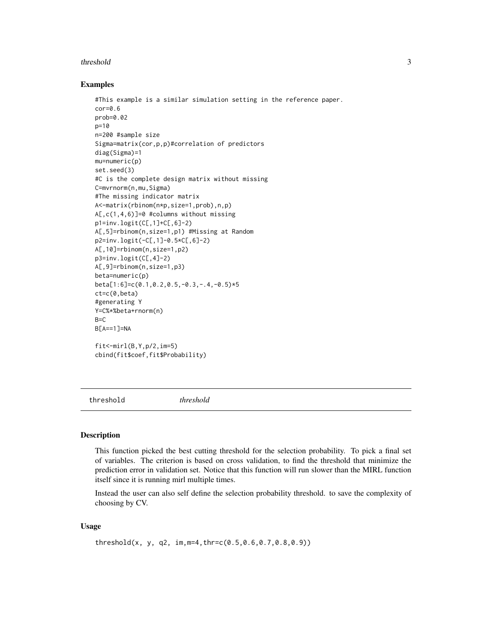#### <span id="page-2-0"></span>threshold 3

#### Examples

```
#This example is a similar simulation setting in the reference paper.
cor=0.6
prob=0.02
p=10
n=200 #sample size
Sigma=matrix(cor,p,p)#correlation of predictors
diag(Sigma)=1
mu=numeric(p)
set.seed(3)
#C is the complete design matrix without missing
C=mvrnorm(n,mu,Sigma)
#The missing indicator matrix
A<-matrix(rbinom(n*p,size=1,prob),n,p)
A[,c(1,4,6)]=0 #columns without missing
p1=inv.logit(C[,1]+C[,6]-2)
A[,5]=rbinom(n,size=1,p1) #Missing at Random
p2=inv.logit(-C[,1]-0.5*C[,6]-2)
A[,10]=rbinom(n,size=1,p2)
p3=inv.logit(C[,4]-2)
A[,9]=rbinom(n,size=1,p3)
beta=numeric(p)
beta[1:6]=c(0.1,0.2,0.5,-0.3,-.4,-0.5)*5
ct=c(0,beta)
#generating Y
Y=C%*%beta+rnorm(n)
B=CB[A==1]=NA
fit < -mirl(B,Y,p/2,im=5)cbind(fit$coef,fit$Probability)
```
threshold *threshold*

#### Description

This function picked the best cutting threshold for the selection probability. To pick a final set of variables. The criterion is based on cross validation, to find the threshold that minimize the prediction error in validation set. Notice that this function will run slower than the MIRL function itself since it is running mirl multiple times.

Instead the user can also self define the selection probability threshold. to save the complexity of choosing by CV.

#### Usage

```
threshold(x, y, q2, im,m=4,thr=c(0.5,0.6,0.7,0.8,0.9))
```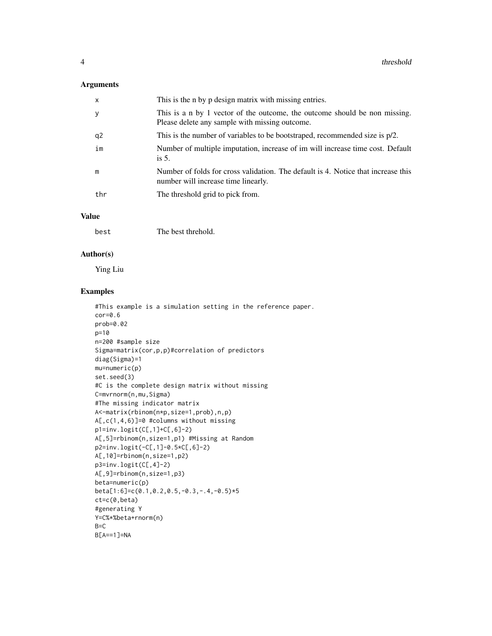#### Arguments

| x              | This is the n by p design matrix with missing entries.                                                                       |
|----------------|------------------------------------------------------------------------------------------------------------------------------|
| У              | This is a n by 1 vector of the outcome, the outcome should be non missing.<br>Please delete any sample with missing outcome. |
| q <sub>2</sub> | This is the number of variables to be bootstraped, recommended size is $p/2$ .                                               |
| im             | Number of multiple imputation, increase of im will increase time cost. Default<br>is $5$ .                                   |
| m              | Number of folds for cross validation. The default is 4. Notice that increase this<br>number will increase time linearly.     |
| thr            | The threshold grid to pick from.                                                                                             |

#### Value

| best | The best threhold. |
|------|--------------------|
|      |                    |

#### Author(s)

Ying Liu

#### Examples

```
#This example is a simulation setting in the reference paper.
cor=0.6
prob=0.02
p=10
n=200 #sample size
Sigma=matrix(cor,p,p)#correlation of predictors
diag(Sigma)=1
mu=numeric(p)
set.seed(3)
#C is the complete design matrix without missing
C=mvrnorm(n,mu,Sigma)
#The missing indicator matrix
A<-matrix(rbinom(n*p,size=1,prob),n,p)
A[,c(1,4,6)]=0 #columns without missing
p1=inv.logit(C[,1]+C[,6]-2)
A[,5]=rbinom(n,size=1,p1) #Missing at Random
p2=inv.logit(-C[,1]-0.5*C[,6]-2)
A[,10]=rbinom(n,size=1,p2)
p3=inv.logit(C[,4]-2)
A[,9]=rbinom(n,size=1,p3)
beta=numeric(p)
beta[1:6]=c(0.1,0.2,0.5,-0.3,-.4,-0.5)*5
ct=c(0,beta)
#generating Y
Y=C%*%beta+rnorm(n)
B=C
B[A==1]=NA
```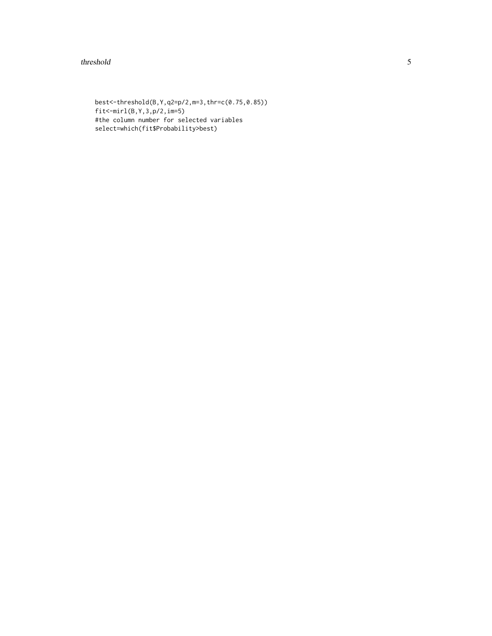#### threshold 5

best<-threshold(B,Y,q2=p/2,m=3,thr=c(0.75,0.85)) fit<-mirl(B,Y,3,p/2,im=5) #the column number for selected variables select=which(fit\$Probability>best)